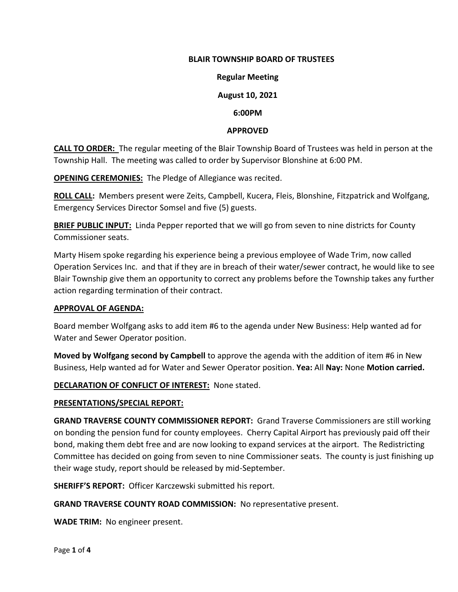## **BLAIR TOWNSHIP BOARD OF TRUSTEES**

#### **Regular Meeting**

## **August 10, 2021**

#### **6:00PM**

#### **APPROVED**

**CALL TO ORDER:** The regular meeting of the Blair Township Board of Trustees was held in person at the Township Hall. The meeting was called to order by Supervisor Blonshine at 6:00 PM.

**OPENING CEREMONIES:** The Pledge of Allegiance was recited.

**ROLL CALL:** Members present were Zeits, Campbell, Kucera, Fleis, Blonshine, Fitzpatrick and Wolfgang, Emergency Services Director Somsel and five (5) guests.

**BRIEF PUBLIC INPUT:** Linda Pepper reported that we will go from seven to nine districts for County Commissioner seats.

Marty Hisem spoke regarding his experience being a previous employee of Wade Trim, now called Operation Services Inc. and that if they are in breach of their water/sewer contract, he would like to see Blair Township give them an opportunity to correct any problems before the Township takes any further action regarding termination of their contract.

## **APPROVAL OF AGENDA:**

Board member Wolfgang asks to add item #6 to the agenda under New Business: Help wanted ad for Water and Sewer Operator position.

**Moved by Wolfgang second by Campbell** to approve the agenda with the addition of item #6 in New Business, Help wanted ad for Water and Sewer Operator position. **Yea:** All **Nay:** None **Motion carried.**

## **DECLARATION OF CONFLICT OF INTEREST:** None stated.

#### **PRESENTATIONS/SPECIAL REPORT:**

**GRAND TRAVERSE COUNTY COMMISSIONER REPORT:** Grand Traverse Commissioners are still working on bonding the pension fund for county employees. Cherry Capital Airport has previously paid off their bond, making them debt free and are now looking to expand services at the airport. The Redistricting Committee has decided on going from seven to nine Commissioner seats. The county is just finishing up their wage study, report should be released by mid-September.

**SHERIFF'S REPORT:** Officer Karczewski submitted his report.

#### **GRAND TRAVERSE COUNTY ROAD COMMISSION:** No representative present.

**WADE TRIM:** No engineer present.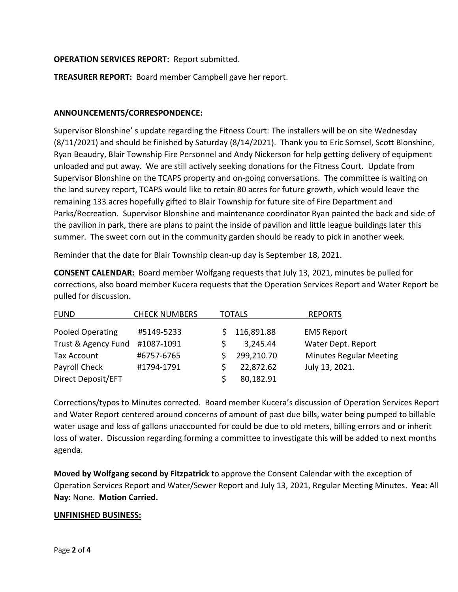# **OPERATION SERVICES REPORT:** Report submitted.

**TREASURER REPORT:** Board member Campbell gave her report.

## **ANNOUNCEMENTS/CORRESPONDENCE:**

Supervisor Blonshine' s update regarding the Fitness Court: The installers will be on site Wednesday (8/11/2021) and should be finished by Saturday (8/14/2021). Thank you to Eric Somsel, Scott Blonshine, Ryan Beaudry, Blair Township Fire Personnel and Andy Nickerson for help getting delivery of equipment unloaded and put away. We are still actively seeking donations for the Fitness Court. Update from Supervisor Blonshine on the TCAPS property and on-going conversations. The committee is waiting on the land survey report, TCAPS would like to retain 80 acres for future growth, which would leave the remaining 133 acres hopefully gifted to Blair Township for future site of Fire Department and Parks/Recreation. Supervisor Blonshine and maintenance coordinator Ryan painted the back and side of the pavilion in park, there are plans to paint the inside of pavilion and little league buildings later this summer. The sweet corn out in the community garden should be ready to pick in another week.

Reminder that the date for Blair Township clean-up day is September 18, 2021.

**CONSENT CALENDAR:** Board member Wolfgang requests that July 13, 2021, minutes be pulled for corrections, also board member Kucera requests that the Operation Services Report and Water Report be pulled for discussion.

| <b>FUND</b>         | <b>CHECK NUMBERS</b> | <b>TOTALS</b> |            | <b>REPORTS</b>                 |
|---------------------|----------------------|---------------|------------|--------------------------------|
| Pooled Operating    | #5149-5233           |               | 116,891.88 | <b>EMS Report</b>              |
| Trust & Agency Fund | #1087-1091           |               | 3,245.44   | Water Dept. Report             |
| <b>Tax Account</b>  | #6757-6765           |               | 299,210.70 | <b>Minutes Regular Meeting</b> |
| Payroll Check       | #1794-1791           |               | 22,872.62  | July 13, 2021.                 |
| Direct Deposit/EFT  |                      |               | 80,182.91  |                                |

Corrections/typos to Minutes corrected. Board member Kucera's discussion of Operation Services Report and Water Report centered around concerns of amount of past due bills, water being pumped to billable water usage and loss of gallons unaccounted for could be due to old meters, billing errors and or inherit loss of water. Discussion regarding forming a committee to investigate this will be added to next months agenda.

**Moved by Wolfgang second by Fitzpatrick** to approve the Consent Calendar with the exception of Operation Services Report and Water/Sewer Report and July 13, 2021, Regular Meeting Minutes. **Yea:** All **Nay:** None. **Motion Carried.**

## **UNFINISHED BUSINESS:**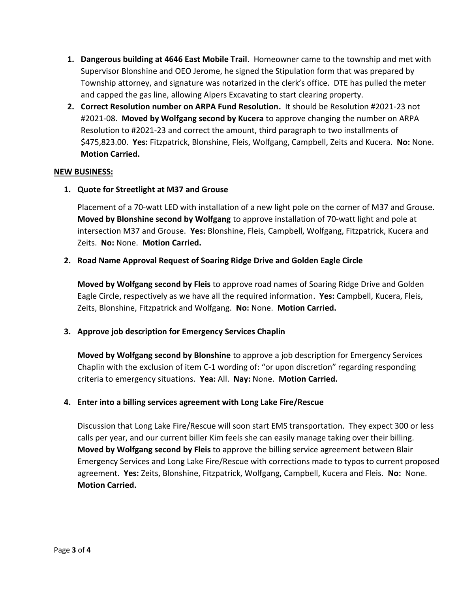- **1. Dangerous building at 4646 East Mobile Trail**. Homeowner came to the township and met with Supervisor Blonshine and OEO Jerome, he signed the Stipulation form that was prepared by Township attorney, and signature was notarized in the clerk's office. DTE has pulled the meter and capped the gas line, allowing Alpers Excavating to start clearing property.
- **2. Correct Resolution number on ARPA Fund Resolution.** It should be Resolution #2021-23 not #2021-08. **Moved by Wolfgang second by Kucera** to approve changing the number on ARPA Resolution to #2021-23 and correct the amount, third paragraph to two installments of \$475,823.00. **Yes:** Fitzpatrick, Blonshine, Fleis, Wolfgang, Campbell, Zeits and Kucera. **No:** None. **Motion Carried.**

## **NEW BUSINESS:**

**1. Quote for Streetlight at M37 and Grouse**

Placement of a 70-watt LED with installation of a new light pole on the corner of M37 and Grouse. **Moved by Blonshine second by Wolfgang** to approve installation of 70-watt light and pole at intersection M37 and Grouse. **Yes:** Blonshine, Fleis, Campbell, Wolfgang, Fitzpatrick, Kucera and Zeits. **No:** None. **Motion Carried.**

## **2. Road Name Approval Request of Soaring Ridge Drive and Golden Eagle Circle**

**Moved by Wolfgang second by Fleis** to approve road names of Soaring Ridge Drive and Golden Eagle Circle, respectively as we have all the required information. **Yes:** Campbell, Kucera, Fleis, Zeits, Blonshine, Fitzpatrick and Wolfgang. **No:** None. **Motion Carried.**

# **3. Approve job description for Emergency Services Chaplin**

**Moved by Wolfgang second by Blonshine** to approve a job description for Emergency Services Chaplin with the exclusion of item C-1 wording of: "or upon discretion" regarding responding criteria to emergency situations. **Yea:** All. **Nay:** None. **Motion Carried.**

## **4. Enter into a billing services agreement with Long Lake Fire/Rescue**

Discussion that Long Lake Fire/Rescue will soon start EMS transportation. They expect 300 or less calls per year, and our current biller Kim feels she can easily manage taking over their billing. **Moved by Wolfgang second by Fleis** to approve the billing service agreement between Blair Emergency Services and Long Lake Fire/Rescue with corrections made to typos to current proposed agreement. **Yes:** Zeits, Blonshine, Fitzpatrick, Wolfgang, Campbell, Kucera and Fleis. **No:** None. **Motion Carried.**